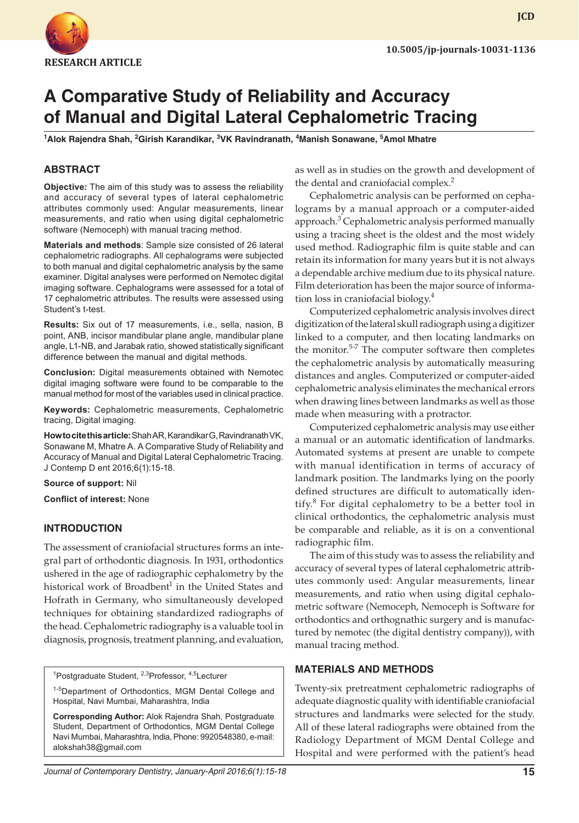

# **A Comparative Study of Reliability and Accuracy of Manual and Digital Lateral Cephalometric Tracing**

<sup>1</sup>Alok Rajendra Shah, <sup>2</sup>Girish Karandikar, <sup>3</sup>VK Ravindranath, <sup>4</sup>Manish Sonawane, <sup>5</sup>Amol Mhatre

## **ABSTRACT**

**Objective:** The aim of this study was to assess the reliability and accuracy of several types of lateral cephalometric attributes commonly used: Angular measurements, linear measurements, and ratio when using digital cephalometric software (Nemoceph) with manual tracing method.

**Materials and methods**: Sample size consisted of 26 lateral cephalometric radiographs. All cephalograms were subjected to both manual and digital cephalometric analysis by the same examiner. Digital analyses were performed on Nemotec digital imaging software. Cephalograms were assessed for a total of 17 cephalometric attributes. The results were assessed using Student's t-test.

**Results:** Six out of 17 measurements, i.e., sella, nasion, B point, ANB, incisor mandibular plane angle, mandibular plane angle, L1-NB, and Jarabak ratio, showed statistically significant difference between the manual and digital methods.

**Conclusion:** Digital measurements obtained with Nemotec digital imaging software were found to be comparable to the manual method for most of the variables used in clinical practice.

**Keywords:** Cephalometric measurements, Cephalometric tracing, Digital imaging.

**How to cite this article:** Shah AR, Karandikar G, Ravindranath VK, Sonawane M, Mhatre A. A Comparative Study of Reliability and Accuracy of Manual and Digital Lateral Cephalometric Tracing. J Contemp D ent 2016;6(1):15-18.

**Source of support:** Nil

**Conflict of interest:** None

#### **INTRODUCTION**

The assessment of craniofacial structures forms an integral part of orthodontic diagnosis. In 1931, orthodontics ushered in the age of radiographic cephalometry by the historical work of Broadbent<sup>1</sup> in the United States and Hofrath in Germany, who simultaneously developed techniques for obtaining standardized radiographs of the head. Cephalometric radiography is a valuable tool in diagnosis, prognosis, treatment planning, and evaluation,

<sup>1</sup>Postgraduate Student, <sup>2,3</sup>Professor, <sup>4,5</sup>Lecturer

1-5Department of Orthodontics, MGM Dental College and Hospital, Navi Mumbai, Maharashtra, India

**Corresponding Author:** Alok Rajendra Shah, Postgraduate Student, Department of Orthodontics, MGM Dental College Navi Mumbai, Maharashtra, India, Phone: 9920548380, e-mail: alokshah38@gmail.com

as well as in studies on the growth and development of the dental and craniofacial complex.<sup>2</sup>

Cephalometric analysis can be performed on cephalograms by a manual approach or a computer-aided approach.<sup>3</sup> Cephalometric analysis performed manually using a tracing sheet is the oldest and the most widely used method. Radiographic film is quite stable and can retain its information for many years but it is not always a dependable archive medium due to its physical nature. Film deterioration has been the major source of information loss in craniofacial biology.4

Computerized cephalometric analysis involves direct digitization of the lateral skull radiograph using a digitizer linked to a computer, and then locating landmarks on the monitor.<sup>5-7</sup> The computer software then completes the cephalometric analysis by automatically measuring distances and angles. Computerized or computer-aided cephalometric analysis eliminates the mechanical errors when drawing lines between landmarks as well as those made when measuring with a protractor.

Computerized cephalometric analysis may use either a manual or an automatic identification of landmarks. Automated systems at present are unable to compete with manual identification in terms of accuracy of landmark position. The landmarks lying on the poorly defined structures are difficult to automatically identify.<sup>8</sup> For digital cephalometry to be a better tool in clinical orthodontics, the cephalometric analysis must be comparable and reliable, as it is on a conventional radiographic film.

The aim of this study was to assess the reliability and accuracy of several types of lateral cephalometric attributes commonly used: Angular measurements, linear measurements, and ratio when using digital cephalometric software (Nemoceph, Nemoceph is Software for orthodontics and orthognathic surgery and is manufactured by nemotec (the digital dentistry company)), with manual tracing method.

#### **MATERIALS AND METHODS**

Twenty-six pretreatment cephalometric radiographs of adequate diagnostic quality with identifiable craniofacial structures and landmarks were selected for the study. All of these lateral radiographs were obtained from the Radiology Department of MGM Dental College and Hospital and were performed with the patient's head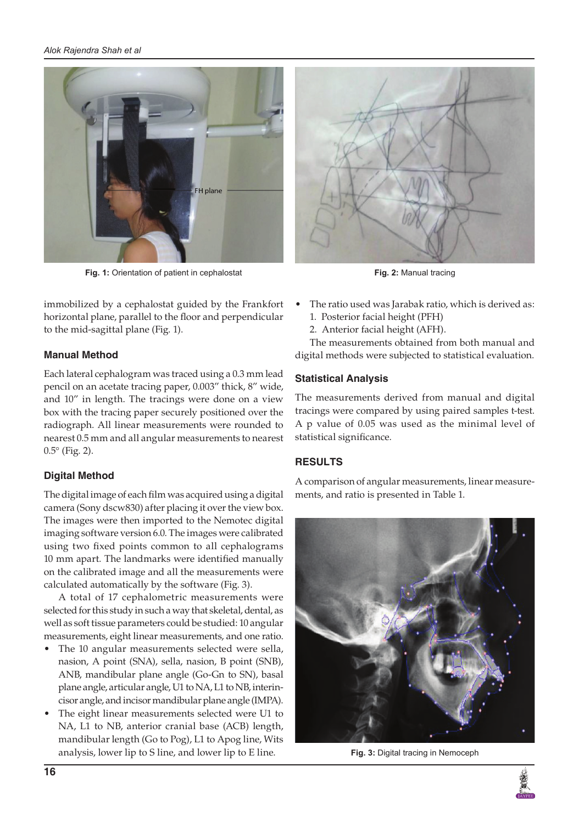

**Fig. 1:** Orientation of patient in cephalostat **Fig. 2:** Manual tracing

immobilized by a cephalostat guided by the Frankfort horizontal plane, parallel to the floor and perpendicular to the mid-sagittal plane (Fig. 1).

# **Manual Method**

Each lateral cephalogram was traced using a 0.3 mm lead pencil on an acetate tracing paper, 0.003" thick, 8" wide, and 10" in length. The tracings were done on a view box with the tracing paper securely positioned over the radiograph. All linear measurements were rounded to nearest 0.5 mm and all angular measurements to nearest 0.5° (Fig. 2).

# **Digital Method**

The digital image of each film was acquired using a digital camera (Sony dscw830) after placing it over the view box. The images were then imported to the Nemotec digital imaging software version 6.0. The images were calibrated using two fixed points common to all cephalograms 10 mm apart. The landmarks were identified manually on the calibrated image and all the measurements were calculated automatically by the software (Fig. 3).

A total of 17 cephalometric measurements were selected for this study in such a way that skeletal, dental, as well as soft tissue parameters could be studied: 10 angular measurements, eight linear measurements, and one ratio.

- The 10 angular measurements selected were sella, nasion, A point (SNA), sella, nasion, B point (SNB), ANB, mandibular plane angle (Go-Gn to SN), basal plane angle, articular angle, U1 to NA, L1 to NB, interincisor angle, and incisor mandibular plane angle (IMPA).
- The eight linear measurements selected were U1 to NA, L1 to NB, anterior cranial base (ACB) length, mandibular length (Go to Pog), L1 to Apog line, Wits analysis, lower lip to S line, and lower lip to E line.



- The ratio used was Jarabak ratio, which is derived as:
	- 1. Posterior facial height (PFH)
	- 2. Anterior facial height (AFH).

The measurements obtained from both manual and digital methods were subjected to statistical evaluation.

# **Statistical Analysis**

The measurements derived from manual and digital tracings were compared by using paired samples t-test. A p value of 0.05 was used as the minimal level of statistical significance.

# **RESULTS**

A comparison of angular measurements, linear measurements, and ratio is presented in Table 1.



**Fig. 3:** Digital tracing in Nemoceph

![](_page_1_Picture_23.jpeg)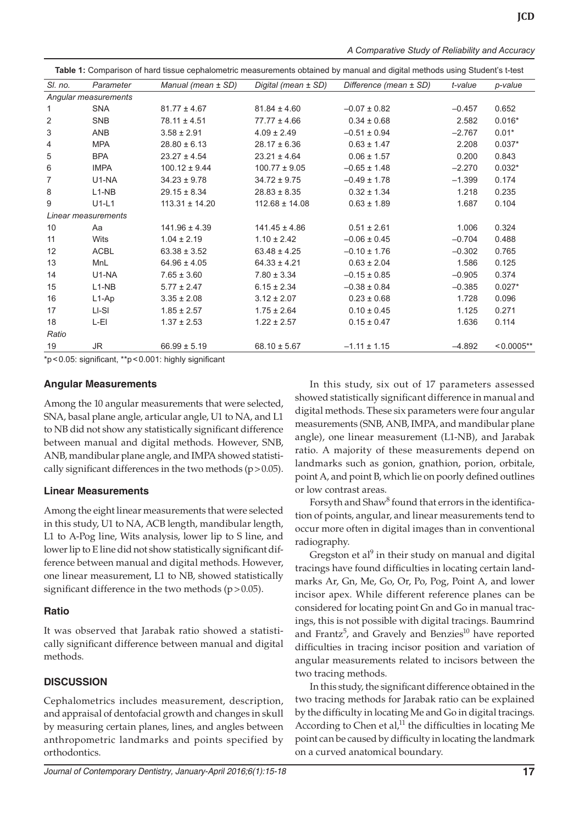*A Comparative Study of Reliability and Accuracy*

| Table 1: Comparison of hard tissue cephalometric measurements obtained by manual and digital methods using Student's t-test |             |                    |                     |                        |          |               |
|-----------------------------------------------------------------------------------------------------------------------------|-------------|--------------------|---------------------|------------------------|----------|---------------|
| SI. no.                                                                                                                     | Parameter   | Manual (mean ± SD) | Digital (mean ± SD) | Difference (mean ± SD) | t-value  | p-value       |
| Angular measurements                                                                                                        |             |                    |                     |                        |          |               |
| 1                                                                                                                           | <b>SNA</b>  | $81.77 \pm 4.67$   | $81.84 \pm 4.60$    | $-0.07 \pm 0.82$       | $-0.457$ | 0.652         |
| 2                                                                                                                           | <b>SNB</b>  | $78.11 \pm 4.51$   | $77.77 \pm 4.66$    | $0.34 \pm 0.68$        | 2.582    | $0.016*$      |
| 3                                                                                                                           | ANB         | $3.58 \pm 2.91$    | $4.09 \pm 2.49$     | $-0.51 \pm 0.94$       | $-2.767$ | $0.01*$       |
| 4                                                                                                                           | <b>MPA</b>  | $28.80 \pm 6.13$   | $28.17 \pm 6.36$    | $0.63 \pm 1.47$        | 2.208    | $0.037*$      |
| 5                                                                                                                           | <b>BPA</b>  | $23.27 \pm 4.54$   | $23.21 \pm 4.64$    | $0.06 \pm 1.57$        | 0.200    | 0.843         |
| 6                                                                                                                           | <b>IMPA</b> | $100.12 \pm 9.44$  | $100.77 \pm 9.05$   | $-0.65 \pm 1.48$       | $-2.270$ | $0.032*$      |
| 7                                                                                                                           | U1-NA       | $34.23 \pm 9.78$   | $34.72 \pm 9.75$    | $-0.49 \pm 1.78$       | $-1.399$ | 0.174         |
| 8                                                                                                                           | $L1-NB$     | $29.15 \pm 8.34$   | $28.83 \pm 8.35$    | $0.32 \pm 1.34$        | 1.218    | 0.235         |
| 9                                                                                                                           | $U1-L1$     | $113.31 \pm 14.20$ | $112.68 \pm 14.08$  | $0.63 \pm 1.89$        | 1.687    | 0.104         |
| Linear measurements                                                                                                         |             |                    |                     |                        |          |               |
| 10                                                                                                                          | Aa          | $141.96 \pm 4.39$  | $141.45 \pm 4.86$   | $0.51 \pm 2.61$        | 1.006    | 0.324         |
| 11                                                                                                                          | <b>Wits</b> | $1.04 \pm 2.19$    | $1.10 \pm 2.42$     | $-0.06 \pm 0.45$       | $-0.704$ | 0.488         |
| 12                                                                                                                          | <b>ACBL</b> | $63.38 \pm 3.52$   | $63.48 \pm 4.25$    | $-0.10 \pm 1.76$       | $-0.302$ | 0.765         |
| 13                                                                                                                          | MnL         | $64.96 \pm 4.05$   | $64.33 \pm 4.21$    | $0.63 \pm 2.04$        | 1.586    | 0.125         |
| 14                                                                                                                          | U1-NA       | $7.65 \pm 3.60$    | $7.80 \pm 3.34$     | $-0.15 \pm 0.85$       | $-0.905$ | 0.374         |
| 15                                                                                                                          | $L1-NB$     | $5.77 \pm 2.47$    | $6.15 \pm 2.34$     | $-0.38 \pm 0.84$       | $-0.385$ | $0.027*$      |
| 16                                                                                                                          | $L1-Ap$     | $3.35 \pm 2.08$    | $3.12 \pm 2.07$     | $0.23 \pm 0.68$        | 1.728    | 0.096         |
| 17                                                                                                                          | LI-SI       | $1.85 \pm 2.57$    | $1.75 \pm 2.64$     | $0.10 \pm 0.45$        | 1.125    | 0.271         |
| 18                                                                                                                          | L-EI        | $1.37 \pm 2.53$    | $1.22 \pm 2.57$     | $0.15 \pm 0.47$        | 1.636    | 0.114         |
| Ratio                                                                                                                       |             |                    |                     |                        |          |               |
| 19                                                                                                                          | JR          | $66.99 \pm 5.19$   | $68.10 \pm 5.67$    | $-1.11 \pm 1.15$       | $-4.892$ | $< 0.0005$ ** |

\*p<0.05: significant, \*\*p<0.001: highly significant

#### **Angular Measurements**

Among the 10 angular measurements that were selected, SNA, basal plane angle, articular angle, U1 to NA, and L1 to NB did not show any statistically significant difference between manual and digital methods. However, SNB, ANB, mandibular plane angle, and IMPA showed statistically significant differences in the two methods  $(p>0.05)$ .

#### **Linear Measurements**

Among the eight linear measurements that were selected in this study, U1 to NA, ACB length, mandibular length, L1 to A-Pog line, Wits analysis, lower lip to S line, and lower lip to E line did not show statistically significant difference between manual and digital methods. However, one linear measurement, L1 to NB, showed statistically significant difference in the two methods  $(p > 0.05)$ .

#### **Ratio**

It was observed that Jarabak ratio showed a statistically significant difference between manual and digital methods.

## **DISCUSSION**

Cephalometrics includes measurement, description, and appraisal of dentofacial growth and changes in skull by measuring certain planes, lines, and angles between anthropometric landmarks and points specified by orthodontics.

In this study, six out of 17 parameters assessed showed statistically significant difference in manual and digital methods. These six parameters were four angular measurements (SNB, ANB, IMPA, and mandibular plane angle), one linear measurement (L1-NB), and Jarabak ratio. A majority of these measurements depend on landmarks such as gonion, gnathion, porion, orbitale, point A, and point B, which lie on poorly defined outlines or low contrast areas.

Forsyth and Shaw<sup>8</sup> found that errors in the identification of points, angular, and linear measurements tend to occur more often in digital images than in conventional radiography.

Gregston et al<sup>9</sup> in their study on manual and digital tracings have found difficulties in locating certain landmarks Ar, Gn, Me, Go, Or, Po, Pog, Point A, and lower incisor apex. While different reference planes can be considered for locating point Gn and Go in manual tracings, this is not possible with digital tracings. Baumrind and Frantz<sup>5</sup>, and Gravely and Benzies<sup>10</sup> have reported difficulties in tracing incisor position and variation of angular measurements related to incisors between the two tracing methods.

In this study, the significant difference obtained in the two tracing methods for Jarabak ratio can be explained by the difficulty in locating Me and Go in digital tracings. According to Chen et al, $11$  the difficulties in locating Me point can be caused by difficulty in locating the landmark on a curved anatomical boundary.